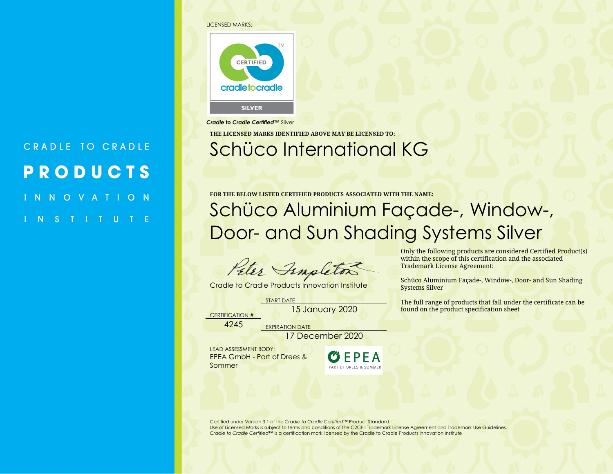#### LICENSED MARKS:

CRADLE TO CRADLE

**PRODUCTS** 

 $O$  N

NOVAT



*Cradle to Cradle Certified™* Silver

**THE LICENSED MARKS IDENTIFIED ABOVE MAY BE LICENSED TO:**

## Schüco International KG

**FOR THE BELOW LISTED CERTIFIED PRODUCTS ASSOCIATED WITH THE NAME:**

Schüco Aluminium Façade-, Window-, Door- and Sun Shading Systems Silver

Fenslets

Cradle to Cradle Products Innovation Institute

START DATE

15 January 2020

CERTIFICATION #

4245 EXPIRATION DATE

17 December 2020

LEAD ASSESSMENT BODY: EPEA GmbH - Part of Drees & Sommer



Only the following products are considered Certified Product(s) within the scope of this certification and the associated Trademark License Agreement:

Schüco Aluminium Façade-, Window-, Door- and Sun Shading Systems Silver

The full range of products that fall under the certificate can be found on the product specification sheet

Certified under Version 3.1 of the *Cradle to Cradle Certified™* Product Standard Use of Licensed Marks is subject to terms and conditions of the C2CPII Trademark License Agreement and Trademark Use Guidelines. *Cradle to Cradle Certified*™ is a certification mark licensed by the Cradle to Cradle Products Innovation Institute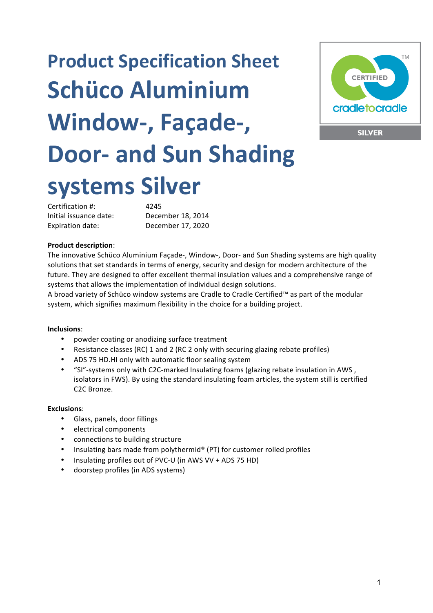# **Product Specification Sheet Schüco Aluminium** Window-, Façade-, **Door-** and Sun Shading **systems Silver**



Certification #: 4245 Initial issuance date: December 18, 2014 Expiration date: December 17, 2020

#### **Product description**:

The innovative Schüco Aluminium Façade-, Window-, Door- and Sun Shading systems are high quality solutions that set standards in terms of energy, security and design for modern architecture of the future. They are designed to offer excellent thermal insulation values and a comprehensive range of systems that allows the implementation of individual design solutions.

A broad variety of Schüco window systems are Cradle to Cradle Certified™ as part of the modular system, which signifies maximum flexibility in the choice for a building project.

#### **Inclusions**:

- powder coating or anodizing surface treatment
- Resistance classes (RC) 1 and 2 (RC 2 only with securing glazing rebate profiles)
- ADS 75 HD.HI only with automatic floor sealing system
- "SI"-systems only with C2C-marked Insulating foams (glazing rebate insulation in AWS, isolators in FWS). By using the standard insulating foam articles, the system still is certified C<sub>2</sub>C Bronze.

#### **Exclusions**:

- Glass, panels, door fillings
- electrical components
- connections to building structure
- Insulating bars made from polythermid® (PT) for customer rolled profiles
- Insulating profiles out of PVC-U (in AWS VV + ADS 75 HD)
- doorstep profiles (in ADS systems)